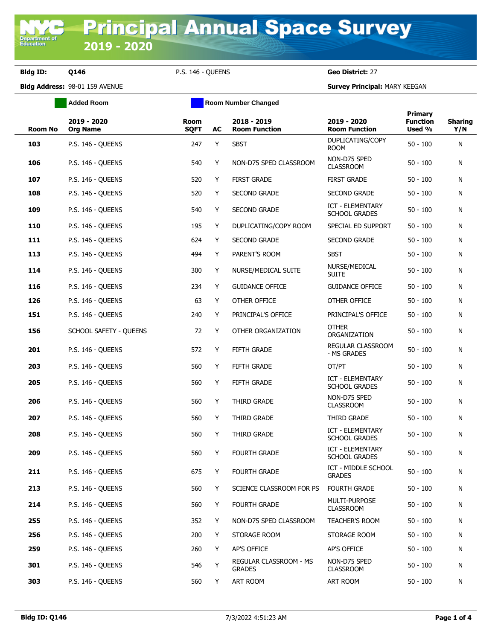**Department of**<br>Education

**Bldg ID: Q146** P.S. 146 - QUEENS **Geo District:** 27

**Bldg Address:** 98-01 159 AVENUE **Survey Principal:** MARY KEEGAN

|                | <b>Added Room</b>              | <b>Room Number Changed</b> |    |                                         |                                                 |                                      |                       |
|----------------|--------------------------------|----------------------------|----|-----------------------------------------|-------------------------------------------------|--------------------------------------|-----------------------|
| <b>Room No</b> | 2019 - 2020<br><b>Org Name</b> | <b>Room</b><br><b>SQFT</b> | AC | $2018 - 2019$<br><b>Room Function</b>   | 2019 - 2020<br><b>Room Function</b>             | Primary<br><b>Function</b><br>Used % | <b>Sharing</b><br>Y/N |
| 103            | P.S. 146 - QUEENS              | 247                        | Y  | <b>SBST</b>                             | DUPLICATING/COPY<br><b>ROOM</b>                 | $50 - 100$                           | N                     |
| 106            | P.S. 146 - QUEENS              | 540                        | Y  | NON-D75 SPED CLASSROOM                  | NON-D75 SPED<br><b>CLASSROOM</b>                | $50 - 100$                           | N                     |
| 107            | P.S. 146 - QUEENS              | 520                        | Y  | <b>FIRST GRADE</b>                      | <b>FIRST GRADE</b>                              | $50 - 100$                           | N                     |
| 108            | P.S. 146 - QUEENS              | 520                        | Y  | SECOND GRADE                            | SECOND GRADE                                    | $50 - 100$                           | N                     |
| 109            | P.S. 146 - QUEENS              | 540                        | Y  | <b>SECOND GRADE</b>                     | ICT - ELEMENTARY<br><b>SCHOOL GRADES</b>        | $50 - 100$                           | N                     |
| 110            | P.S. 146 - QUEENS              | 195                        | Y  | DUPLICATING/COPY ROOM                   | SPECIAL ED SUPPORT                              | $50 - 100$                           | N                     |
| 111            | P.S. 146 - QUEENS              | 624                        | Y  | <b>SECOND GRADE</b>                     | <b>SECOND GRADE</b>                             | $50 - 100$                           | N                     |
| 113            | <b>P.S. 146 - QUEENS</b>       | 494                        | Y  | PARENT'S ROOM                           | <b>SBST</b>                                     | $50 - 100$                           | N                     |
| 114            | <b>P.S. 146 - QUEENS</b>       | 300                        | Y  | NURSE/MEDICAL SUITE                     | NURSE/MEDICAL<br><b>SUITE</b>                   | $50 - 100$                           | N                     |
| 116            | P.S. 146 - QUEENS              | 234                        | Y  | <b>GUIDANCE OFFICE</b>                  | <b>GUIDANCE OFFICE</b>                          | $50 - 100$                           | N                     |
| 126            | P.S. 146 - QUEENS              | 63                         | Y  | OTHER OFFICE                            | OTHER OFFICE                                    | $50 - 100$                           | N                     |
| 151            | P.S. 146 - QUEENS              | 240                        | Y  | PRINCIPAL'S OFFICE                      | PRINCIPAL'S OFFICE                              | $50 - 100$                           | N                     |
| 156            | SCHOOL SAFETY - QUEENS         | 72                         | Y  | OTHER ORGANIZATION                      | <b>OTHER</b><br>ORGANIZATION                    | $50 - 100$                           | N                     |
| 201            | P.S. 146 - QUEENS              | 572                        | Y  | <b>FIFTH GRADE</b>                      | REGULAR CLASSROOM<br>- MS GRADES                | $50 - 100$                           | N                     |
| 203            | P.S. 146 - QUEENS              | 560                        | Y  | <b>FIFTH GRADE</b>                      | OT/PT                                           | $50 - 100$                           | N                     |
| 205            | P.S. 146 - QUEENS              | 560                        | Y  | <b>FIFTH GRADE</b>                      | <b>ICT - ELEMENTARY</b><br><b>SCHOOL GRADES</b> | $50 - 100$                           | N                     |
| 206            | P.S. 146 - QUEENS              | 560                        | Y  | THIRD GRADE                             | NON-D75 SPED<br><b>CLASSROOM</b>                | $50 - 100$                           | Ν                     |
| 207            | <b>P.S. 146 - QUEENS</b>       | 560                        | Y  | THIRD GRADE                             | THIRD GRADE                                     | $50 - 100$                           | N                     |
| 208            | P.S. 146 - QUEENS              | 560                        | Y  | THIRD GRADE                             | ICT - ELEMENTARY<br><b>SCHOOL GRADES</b>        | $50 - 100$                           | N                     |
| 209            | P.S. 146 - QUEENS              | 560                        | Y  | <b>FOURTH GRADE</b>                     | ICT - ELEMENTARY<br><b>SCHOOL GRADES</b>        | $50 - 100$                           | N                     |
| 211            | P.S. 146 - OUEENS              | 675                        | Y  | <b>FOURTH GRADE</b>                     | ICT - MIDDLE SCHOOL<br><b>GRADES</b>            | $50 - 100$                           | N                     |
| 213            | P.S. 146 - QUEENS              | 560                        | Y  | SCIENCE CLASSROOM FOR PS                | <b>FOURTH GRADE</b>                             | $50 - 100$                           | N                     |
| 214            | P.S. 146 - QUEENS              | 560                        | Y  | FOURTH GRADE                            | MULTI-PURPOSE<br><b>CLASSROOM</b>               | $50 - 100$                           | Ν                     |
| 255            | P.S. 146 - QUEENS              | 352                        | Y  | NON-D75 SPED CLASSROOM                  | <b>TEACHER'S ROOM</b>                           | $50 - 100$                           | N                     |
| 256            | P.S. 146 - QUEENS              | 200                        | Y  | STORAGE ROOM                            | STORAGE ROOM                                    | $50 - 100$                           | Ν                     |
| 259            | <b>P.S. 146 - QUEENS</b>       | 260                        | Y  | AP'S OFFICE                             | AP'S OFFICE                                     | $50 - 100$                           | N                     |
| 301            | P.S. 146 - QUEENS              | 546                        | Y  | REGULAR CLASSROOM - MS<br><b>GRADES</b> | NON-D75 SPED<br><b>CLASSROOM</b>                | $50 - 100$                           | Ν                     |
| 303            | P.S. 146 - QUEENS              | 560                        | Y  | ART ROOM                                | ART ROOM                                        | $50 - 100$                           | N                     |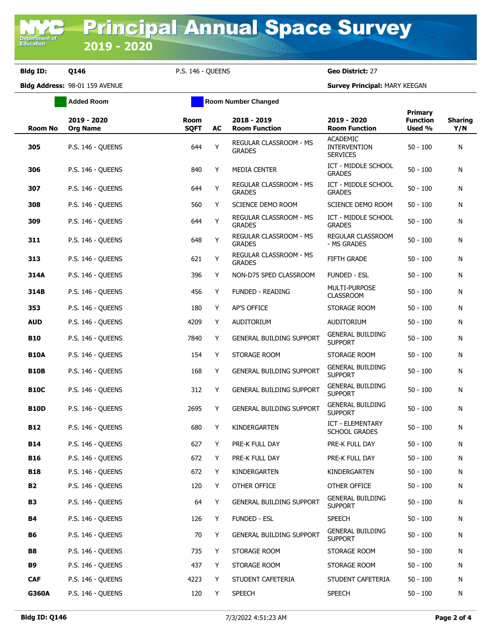**Added Room Room Room Number Changed** 

**Bldg ID: Q146** P.S. 146 - QUEENS **Geo District:** 27

**Bldg Address:** 98-01 159 AVENUE **Survey Principal:** MARY KEEGAN

| <b>Room No</b> | 2019 - 2020<br><b>Org Name</b> | Room<br><b>SQFT</b> | AC | 2018 - 2019<br><b>Room Function</b>     | 2019 - 2020<br><b>Room Function</b>                       | <b>Primary</b><br><b>Function</b><br>Used % | <b>Sharing</b><br>Y/N |
|----------------|--------------------------------|---------------------|----|-----------------------------------------|-----------------------------------------------------------|---------------------------------------------|-----------------------|
| 305            | <b>P.S. 146 - QUEENS</b>       | 644                 | Y  | REGULAR CLASSROOM - MS<br><b>GRADES</b> | <b>ACADEMIC</b><br><b>INTERVENTION</b><br><b>SERVICES</b> | $50 - 100$                                  | N                     |
| 306            | P.S. 146 - QUEENS              | 840                 | Y  | MEDIA CENTER                            | ICT - MIDDLE SCHOOL<br><b>GRADES</b>                      | $50 - 100$                                  | N                     |
| 307            | <b>P.S. 146 - QUEENS</b>       | 644                 | Y  | REGULAR CLASSROOM - MS<br><b>GRADES</b> | ICT - MIDDLE SCHOOL<br><b>GRADES</b>                      | $50 - 100$                                  | N                     |
| 308            | P.S. 146 - OUEENS              | 560                 | Y  | SCIENCE DEMO ROOM                       | SCIENCE DEMO ROOM                                         | $50 - 100$                                  | N                     |
| 309            | <b>P.S. 146 - QUEENS</b>       | 644                 | Y  | REGULAR CLASSROOM - MS<br><b>GRADES</b> | ICT - MIDDLE SCHOOL<br><b>GRADES</b>                      | $50 - 100$                                  | N                     |
| 311            | <b>P.S. 146 - QUEENS</b>       | 648                 | Y  | REGULAR CLASSROOM - MS<br><b>GRADES</b> | REGULAR CLASSROOM<br>- MS GRADES                          | $50 - 100$                                  | N                     |
| 313            | <b>P.S. 146 - QUEENS</b>       | 621                 | Y  | REGULAR CLASSROOM - MS<br><b>GRADES</b> | <b>FIFTH GRADE</b>                                        | $50 - 100$                                  | N                     |
| 314A           | P.S. 146 - OUEENS              | 396                 | Y  | NON-D75 SPED CLASSROOM                  | <b>FUNDED - ESL</b>                                       | $50 - 100$                                  | N                     |
| 314B           | P.S. 146 - QUEENS              | 456                 | Y  | <b>FUNDED - READING</b>                 | MULTI-PURPOSE<br><b>CLASSROOM</b>                         | $50 - 100$                                  | N                     |
| 353            | <b>P.S. 146 - QUEENS</b>       | 180                 | Y  | <b>AP'S OFFICE</b>                      | STORAGE ROOM                                              | $50 - 100$                                  | N                     |
| <b>AUD</b>     | <b>P.S. 146 - QUEENS</b>       | 4209                | Y  | <b>AUDITORIUM</b>                       | <b>AUDITORIUM</b>                                         | $50 - 100$                                  | N                     |
| <b>B10</b>     | <b>P.S. 146 - QUEENS</b>       | 7840                | Y  | <b>GENERAL BUILDING SUPPORT</b>         | <b>GENERAL BUILDING</b><br><b>SUPPORT</b>                 | $50 - 100$                                  | N                     |
| <b>B10A</b>    | P.S. 146 - QUEENS              | 154                 | Y  | STORAGE ROOM                            | STORAGE ROOM                                              | $50 - 100$                                  | N                     |
| <b>B10B</b>    | <b>P.S. 146 - QUEENS</b>       | 168                 | Y  | GENERAL BUILDING SUPPORT                | <b>GENERAL BUILDING</b><br><b>SUPPORT</b>                 | $50 - 100$                                  | N                     |
| <b>B10C</b>    | P.S. 146 - QUEENS              | 312                 | Y  | <b>GENERAL BUILDING SUPPORT</b>         | <b>GENERAL BUILDING</b><br><b>SUPPORT</b>                 | $50 - 100$                                  | N                     |
| <b>B10D</b>    | <b>P.S. 146 - QUEENS</b>       | 2695                | Y  | GENERAL BUILDING SUPPORT                | <b>GENERAL BUILDING</b><br><b>SUPPORT</b>                 | $50 - 100$                                  | N                     |
| <b>B12</b>     | P.S. 146 - QUEENS              | 680                 | Y  | KINDERGARTEN                            | ICT - ELEMENTARY<br><b>SCHOOL GRADES</b>                  | $50 - 100$                                  | N                     |
| B14            | <b>P.S. 146 - QUEENS</b>       | 627                 | Y  | PRE-K FULL DAY                          | PRE-K FULL DAY                                            | $50 - 100$                                  | N                     |
| <b>B16</b>     | P.S. 146 - QUEENS              | 672                 | Y  | PRE-K FULL DAY                          | PRE-K FULL DAY                                            | $50 - 100$                                  | N                     |
| <b>B18</b>     | P.S. 146 - QUEENS              | 672                 | Y  | KINDERGARTEN                            | KINDERGARTEN                                              | $50 - 100$                                  | N                     |
| <b>B2</b>      | <b>P.S. 146 - QUEENS</b>       | 120                 | Y  | OTHER OFFICE                            | OTHER OFFICE                                              | $50 - 100$                                  | N                     |
| <b>B3</b>      | <b>P.S. 146 - QUEENS</b>       | 64                  | Y  | GENERAL BUILDING SUPPORT                | <b>GENERAL BUILDING</b><br><b>SUPPORT</b>                 | $50 - 100$                                  | N                     |
| B4             | P.S. 146 - QUEENS              | 126                 | Y  | <b>FUNDED - ESL</b>                     | <b>SPEECH</b>                                             | $50 - 100$                                  | N                     |
| <b>B6</b>      | <b>P.S. 146 - QUEENS</b>       | 70                  | Y  | GENERAL BUILDING SUPPORT                | <b>GENERAL BUILDING</b><br><b>SUPPORT</b>                 | $50 - 100$                                  | N                     |
| <b>B8</b>      | <b>P.S. 146 - QUEENS</b>       | 735                 | Y  | STORAGE ROOM                            | STORAGE ROOM                                              | $50 - 100$                                  | N                     |
| <b>B9</b>      | P.S. 146 - OUEENS              | 437                 | Y  | STORAGE ROOM                            | STORAGE ROOM                                              | $50 - 100$                                  | N                     |
| <b>CAF</b>     | P.S. 146 - QUEENS              | 4223                | Y  | STUDENT CAFETERIA                       | STUDENT CAFETERIA                                         | $50 - 100$                                  | N                     |
| G360A          | <b>P.S. 146 - QUEENS</b>       | 120                 | Y  | <b>SPEECH</b>                           | <b>SPEECH</b>                                             | $50 - 100$                                  | N                     |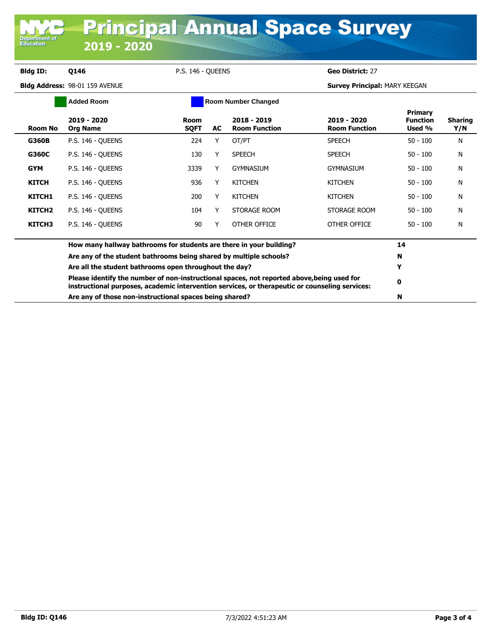**Department o**<br>Education

**Bldg ID: Q146** P.S. 146 - QUEENS **Geo District:** 27

**Bldg Address:** 98-01 159 AVENUE **Survey Principal:** MARY KEEGAN

| <b>Added Room</b>  |                                                                                                                                                                                              | <b>Room Number Changed</b> |    |                                     |                                     |                                             |                |
|--------------------|----------------------------------------------------------------------------------------------------------------------------------------------------------------------------------------------|----------------------------|----|-------------------------------------|-------------------------------------|---------------------------------------------|----------------|
| <b>Room No</b>     | 2019 - 2020<br><b>Org Name</b>                                                                                                                                                               | Room<br><b>SQFT</b>        | AC | 2018 - 2019<br><b>Room Function</b> | 2019 - 2020<br><b>Room Function</b> | <b>Primary</b><br><b>Function</b><br>Used % | Sharing<br>Y/N |
| <b>G360B</b>       | <b>P.S. 146 - OUEENS</b>                                                                                                                                                                     | 224                        | Υ  | OT/PT                               | <b>SPEECH</b>                       | $50 - 100$                                  | N              |
| G360C              | P.S. 146 - QUEENS                                                                                                                                                                            | 130                        | Y  | <b>SPEECH</b>                       | <b>SPEECH</b>                       | $50 - 100$                                  | N              |
| <b>GYM</b>         | <b>P.S. 146 - OUEENS</b>                                                                                                                                                                     | 3339                       | Y  | <b>GYMNASIUM</b>                    | <b>GYMNASIUM</b>                    | $50 - 100$                                  | N              |
| <b>KITCH</b>       | <b>P.S. 146 - OUEENS</b>                                                                                                                                                                     | 936                        | Y  | <b>KITCHEN</b>                      | <b>KITCHEN</b>                      | $50 - 100$                                  | N              |
| KITCH1             | <b>P.S. 146 - OUEENS</b>                                                                                                                                                                     | 200                        | Y  | <b>KITCHEN</b>                      | <b>KITCHEN</b>                      | $50 - 100$                                  | N              |
| KITCH <sub>2</sub> | <b>P.S. 146 - OUEENS</b>                                                                                                                                                                     | 104                        | Y  | STORAGE ROOM                        | STORAGE ROOM                        | $50 - 100$                                  | N              |
| KITCH3             | <b>P.S. 146 - OUEENS</b>                                                                                                                                                                     | 90                         | Y  | OTHER OFFICE                        | OTHER OFFICE                        | $50 - 100$                                  | N              |
|                    | How many hallway bathrooms for students are there in your building?                                                                                                                          |                            |    |                                     |                                     |                                             |                |
|                    | Are any of the student bathrooms being shared by multiple schools?                                                                                                                           |                            |    |                                     | N                                   |                                             |                |
|                    | Are all the student bathrooms open throughout the day?                                                                                                                                       |                            |    |                                     |                                     | Y                                           |                |
|                    | Please identify the number of non-instructional spaces, not reported above, being used for<br>instructional purposes, academic intervention services, or therapeutic or counseling services: |                            |    |                                     |                                     | $\mathbf 0$                                 |                |
|                    | Are any of those non-instructional spaces being shared?                                                                                                                                      |                            |    |                                     |                                     | N                                           |                |